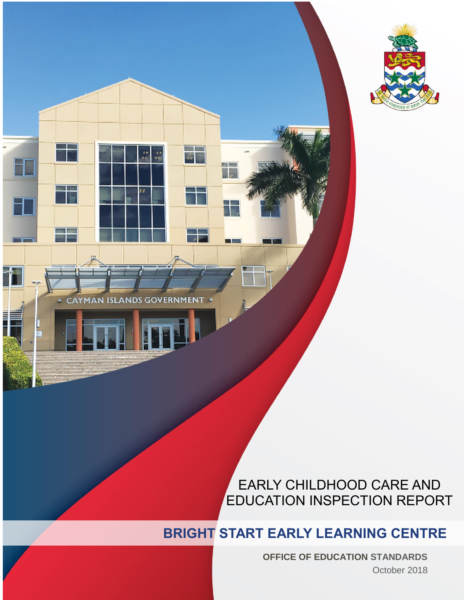



# EARLY CHILDHOOD CARE AND EDUCATION INSPECTION REPORT

# **BRIGHT START EARLY LEARNING CENTRE**

**OFFICE OF EDUCATION STANDARDS** October 2018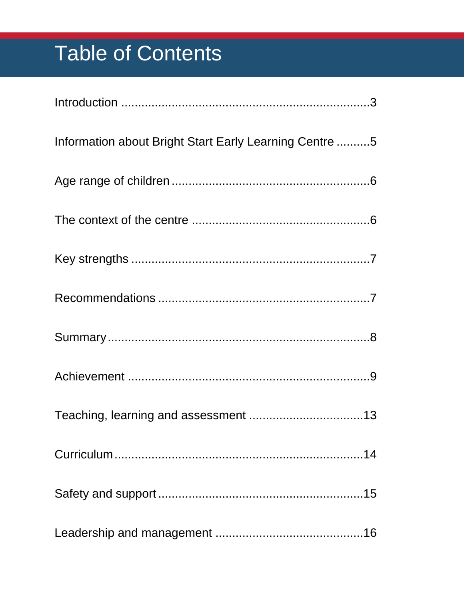# **Table of Contents**

| Information about Bright Start Early Learning Centre 5 |
|--------------------------------------------------------|
|                                                        |
|                                                        |
|                                                        |
|                                                        |
|                                                        |
|                                                        |
|                                                        |
|                                                        |
|                                                        |
|                                                        |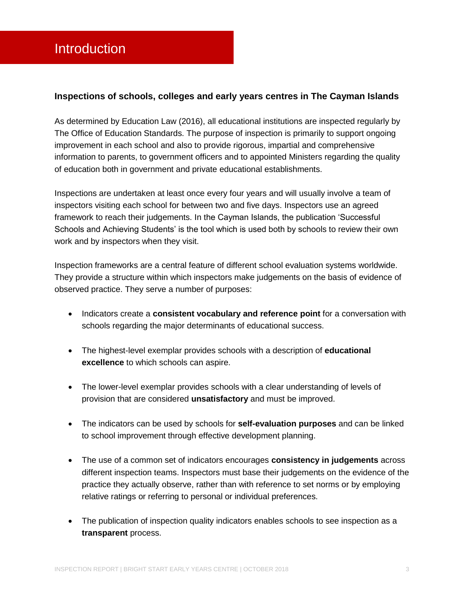#### <span id="page-3-0"></span>**Inspections of schools, colleges and early years centres in The Cayman Islands**

As determined by Education Law (2016), all educational institutions are inspected regularly by The Office of Education Standards. The purpose of inspection is primarily to support ongoing improvement in each school and also to provide rigorous, impartial and comprehensive information to parents, to government officers and to appointed Ministers regarding the quality of education both in government and private educational establishments.

Inspections are undertaken at least once every four years and will usually involve a team of inspectors visiting each school for between two and five days. Inspectors use an agreed framework to reach their judgements. In the Cayman Islands, the publication 'Successful Schools and Achieving Students' is the tool which is used both by schools to review their own work and by inspectors when they visit.

Inspection frameworks are a central feature of different school evaluation systems worldwide. They provide a structure within which inspectors make judgements on the basis of evidence of observed practice. They serve a number of purposes:

- **Indicators create a consistent vocabulary and reference point for a conversation with** schools regarding the major determinants of educational success.
- The highest-level exemplar provides schools with a description of **educational excellence** to which schools can aspire.
- The lower-level exemplar provides schools with a clear understanding of levels of provision that are considered **unsatisfactory** and must be improved.
- The indicators can be used by schools for **self-evaluation purposes** and can be linked to school improvement through effective development planning.
- The use of a common set of indicators encourages **consistency in judgements** across different inspection teams. Inspectors must base their judgements on the evidence of the practice they actually observe, rather than with reference to set norms or by employing relative ratings or referring to personal or individual preferences.
- The publication of inspection quality indicators enables schools to see inspection as a **transparent** process.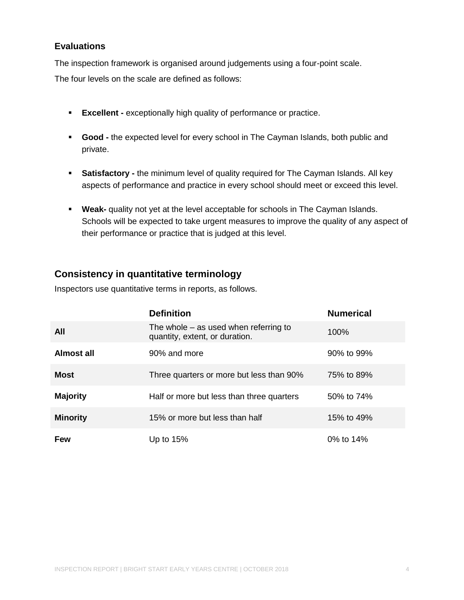### **Evaluations**

The inspection framework is organised around judgements using a four-point scale.

The four levels on the scale are defined as follows:

- **Excellent -** exceptionally high quality of performance or practice.
- **Good -** the expected level for every school in The Cayman Islands, both public and private.
- **Satisfactory -** the minimum level of quality required for The Cayman Islands. All key aspects of performance and practice in every school should meet or exceed this level.
- **Weak-** quality not yet at the level acceptable for schools in The Cayman Islands. Schools will be expected to take urgent measures to improve the quality of any aspect of their performance or practice that is judged at this level.

# **Consistency in quantitative terminology**

Inspectors use quantitative terms in reports, as follows.

|                 | <b>Definition</b>                                                         | <b>Numerical</b> |
|-----------------|---------------------------------------------------------------------------|------------------|
| All             | The whole $-$ as used when referring to<br>quantity, extent, or duration. | 100%             |
| Almost all      | 90% and more                                                              | 90% to 99%       |
| <b>Most</b>     | Three quarters or more but less than 90%                                  | 75% to 89%       |
| <b>Majority</b> | Half or more but less than three quarters                                 | 50% to 74%       |
| <b>Minority</b> | 15% or more but less than half                                            | 15% to 49%       |
| <b>Few</b>      | Up to $15%$                                                               | 0% to 14%        |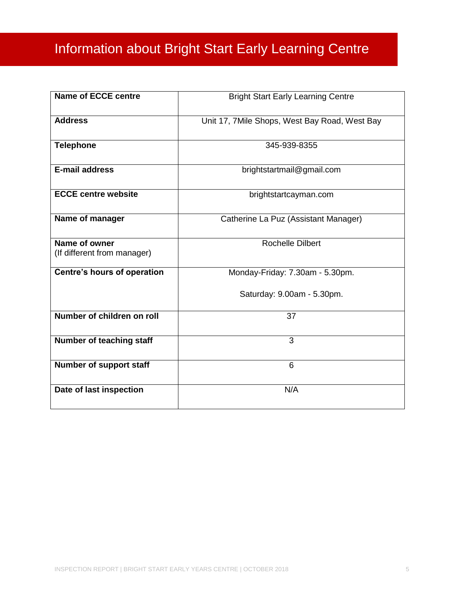# <span id="page-5-0"></span>Information about Bright Start Early Learning Centre

| <b>Name of ECCE centre</b>                   | <b>Bright Start Early Learning Centre</b>     |
|----------------------------------------------|-----------------------------------------------|
| <b>Address</b>                               | Unit 17, 7Mile Shops, West Bay Road, West Bay |
| <b>Telephone</b>                             | 345-939-8355                                  |
| E-mail address                               | brightstartmail@gmail.com                     |
| <b>ECCE centre website</b>                   | brightstartcayman.com                         |
| Name of manager                              | Catherine La Puz (Assistant Manager)          |
| Name of owner<br>(If different from manager) | <b>Rochelle Dilbert</b>                       |
| <b>Centre's hours of operation</b>           | Monday-Friday: 7.30am - 5.30pm.               |
|                                              | Saturday: 9.00am - 5.30pm.                    |
| Number of children on roll                   | 37                                            |
| Number of teaching staff                     | 3                                             |
| Number of support staff                      | $6\phantom{1}$                                |
| Date of last inspection                      | N/A                                           |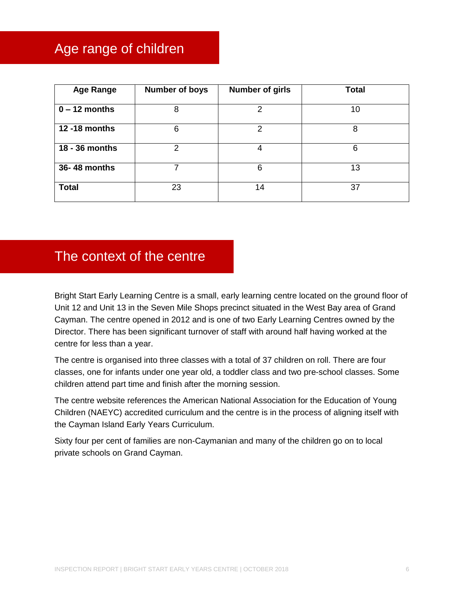# <span id="page-6-0"></span>Age range of children

| <b>Age Range</b> | <b>Number of boys</b> | <b>Number of girls</b> | <b>Total</b> |
|------------------|-----------------------|------------------------|--------------|
| $0 - 12$ months  | 8                     | 2                      | 10           |
| 12 -18 months    | 6                     | 2                      | 8            |
| 18 - 36 months   | $\mathcal{P}$         | 4                      | 6            |
| 36-48 months     | 7                     | 6                      | 13           |
| <b>Total</b>     | 23                    | 14                     | 37           |

# <span id="page-6-1"></span>The context of the centre

Bright Start Early Learning Centre is a small, early learning centre located on the ground floor of Unit 12 and Unit 13 in the Seven Mile Shops precinct situated in the West Bay area of Grand Cayman. The centre opened in 2012 and is one of two Early Learning Centres owned by the Director. There has been significant turnover of staff with around half having worked at the centre for less than a year.

The centre is organised into three classes with a total of 37 children on roll. There are four classes, one for infants under one year old, a toddler class and two pre-school classes. Some children attend part time and finish after the morning session.

The centre website references the American National Association for the Education of Young Children (NAEYC) accredited curriculum and the centre is in the process of aligning itself with the Cayman Island Early Years Curriculum.

Sixty four per cent of families are non-Caymanian and many of the children go on to local private schools on Grand Cayman.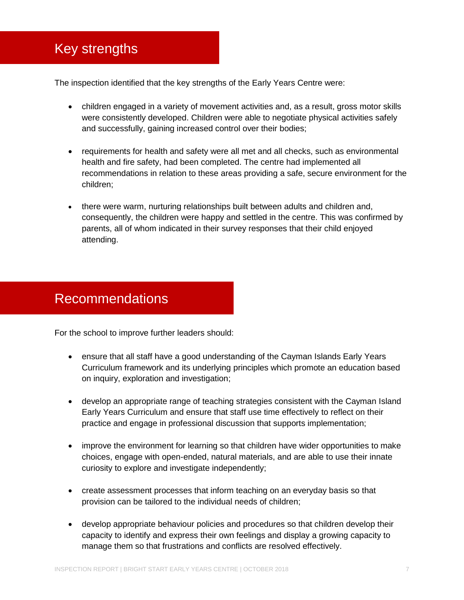# <span id="page-7-0"></span>Key strengths

The inspection identified that the key strengths of the Early Years Centre were:

- children engaged in a variety of movement activities and, as a result, gross motor skills were consistently developed. Children were able to negotiate physical activities safely and successfully, gaining increased control over their bodies;
- requirements for health and safety were all met and all checks, such as environmental health and fire safety, had been completed. The centre had implemented all recommendations in relation to these areas providing a safe, secure environment for the children;
- there were warm, nurturing relationships built between adults and children and, consequently, the children were happy and settled in the centre. This was confirmed by parents, all of whom indicated in their survey responses that their child enjoyed attending.

# <span id="page-7-1"></span>Recommendations

For the school to improve further leaders should:

- ensure that all staff have a good understanding of the Cayman Islands Early Years Curriculum framework and its underlying principles which promote an education based on inquiry, exploration and investigation;
- develop an appropriate range of teaching strategies consistent with the Cayman Island Early Years Curriculum and ensure that staff use time effectively to reflect on their practice and engage in professional discussion that supports implementation;
- improve the environment for learning so that children have wider opportunities to make choices, engage with open-ended, natural materials, and are able to use their innate curiosity to explore and investigate independently;
- create assessment processes that inform teaching on an everyday basis so that provision can be tailored to the individual needs of children;
- develop appropriate behaviour policies and procedures so that children develop their capacity to identify and express their own feelings and display a growing capacity to manage them so that frustrations and conflicts are resolved effectively.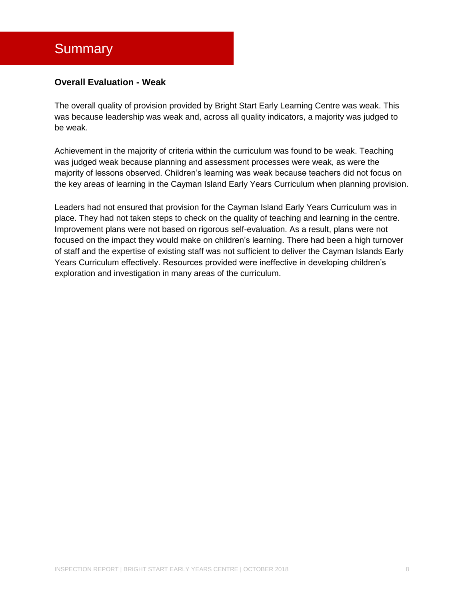# <span id="page-8-0"></span>**Summary**

#### **Overall Evaluation - Weak**

The overall quality of provision provided by Bright Start Early Learning Centre was weak. This was because leadership was weak and, across all quality indicators, a majority was judged to be weak.

Achievement in the majority of criteria within the curriculum was found to be weak. Teaching was judged weak because planning and assessment processes were weak, as were the majority of lessons observed. Children's learning was weak because teachers did not focus on the key areas of learning in the Cayman Island Early Years Curriculum when planning provision.

Leaders had not ensured that provision for the Cayman Island Early Years Curriculum was in place. They had not taken steps to check on the quality of teaching and learning in the centre. Improvement plans were not based on rigorous self-evaluation. As a result, plans were not focused on the impact they would make on children's learning. There had been a high turnover of staff and the expertise of existing staff was not sufficient to deliver the Cayman Islands Early Years Curriculum effectively. Resources provided were ineffective in developing children's exploration and investigation in many areas of the curriculum.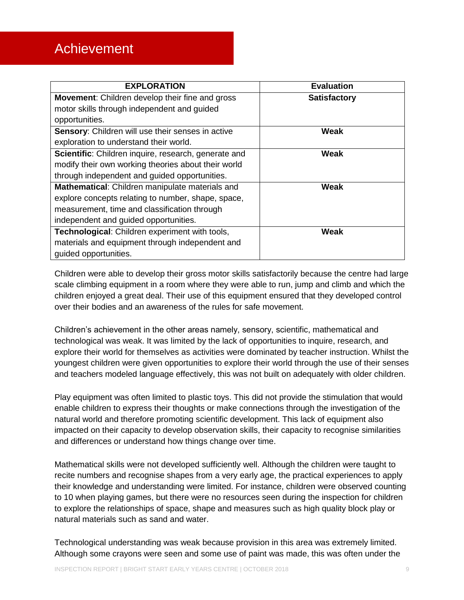# <span id="page-9-0"></span>Achievement

| <b>EXPLORATION</b>                                     | <b>Evaluation</b>   |
|--------------------------------------------------------|---------------------|
| <b>Movement:</b> Children develop their fine and gross | <b>Satisfactory</b> |
| motor skills through independent and guided            |                     |
| opportunities.                                         |                     |
| Sensory: Children will use their senses in active      | Weak                |
| exploration to understand their world.                 |                     |
| Scientific: Children inquire, research, generate and   | Weak                |
| modify their own working theories about their world    |                     |
| through independent and guided opportunities.          |                     |
| Mathematical: Children manipulate materials and        | Weak                |
| explore concepts relating to number, shape, space,     |                     |
| measurement, time and classification through           |                     |
| independent and guided opportunities.                  |                     |
| Technological: Children experiment with tools,         | Weak                |
| materials and equipment through independent and        |                     |
| guided opportunities.                                  |                     |

Children were able to develop their gross motor skills satisfactorily because the centre had large scale climbing equipment in a room where they were able to run, jump and climb and which the children enjoyed a great deal. Their use of this equipment ensured that they developed control over their bodies and an awareness of the rules for safe movement.

Children's achievement in the other areas namely, sensory, scientific, mathematical and technological was weak. It was limited by the lack of opportunities to inquire, research, and explore their world for themselves as activities were dominated by teacher instruction. Whilst the youngest children were given opportunities to explore their world through the use of their senses and teachers modeled language effectively, this was not built on adequately with older children.

Play equipment was often limited to plastic toys. This did not provide the stimulation that would enable children to express their thoughts or make connections through the investigation of the natural world and therefore promoting scientific development. This lack of equipment also impacted on their capacity to develop observation skills, their capacity to recognise similarities and differences or understand how things change over time.

Mathematical skills were not developed sufficiently well. Although the children were taught to recite numbers and recognise shapes from a very early age, the practical experiences to apply their knowledge and understanding were limited. For instance, children were observed counting to 10 when playing games, but there were no resources seen during the inspection for children to explore the relationships of space, shape and measures such as high quality block play or natural materials such as sand and water.

Technological understanding was weak because provision in this area was extremely limited. Although some crayons were seen and some use of paint was made, this was often under the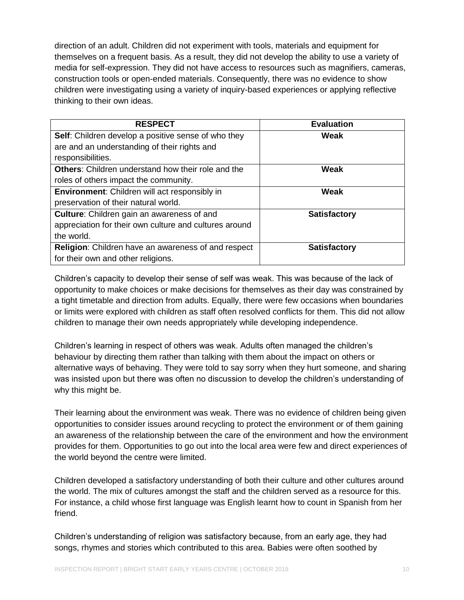direction of an adult. Children did not experiment with tools, materials and equipment for themselves on a frequent basis. As a result, they did not develop the ability to use a variety of media for self-expression. They did not have access to resources such as magnifiers, cameras, construction tools or open-ended materials. Consequently, there was no evidence to show children were investigating using a variety of inquiry-based experiences or applying reflective thinking to their own ideas.

| <b>RESPECT</b>                                            | <b>Evaluation</b>   |
|-----------------------------------------------------------|---------------------|
| Self: Children develop a positive sense of who they       | Weak                |
| are and an understanding of their rights and              |                     |
| responsibilities.                                         |                     |
| <b>Others:</b> Children understand how their role and the | <b>Weak</b>         |
| roles of others impact the community.                     |                     |
| <b>Environment:</b> Children will act responsibly in      | Weak                |
| preservation of their natural world.                      |                     |
| <b>Culture:</b> Children gain an awareness of and         | <b>Satisfactory</b> |
| appreciation for their own culture and cultures around    |                     |
| the world.                                                |                     |
| Religion: Children have an awareness of and respect       | <b>Satisfactory</b> |
| for their own and other religions.                        |                     |

Children's capacity to develop their sense of self was weak. This was because of the lack of opportunity to make choices or make decisions for themselves as their day was constrained by a tight timetable and direction from adults. Equally, there were few occasions when boundaries or limits were explored with children as staff often resolved conflicts for them. This did not allow children to manage their own needs appropriately while developing independence.

Children's learning in respect of others was weak. Adults often managed the children's behaviour by directing them rather than talking with them about the impact on others or alternative ways of behaving. They were told to say sorry when they hurt someone, and sharing was insisted upon but there was often no discussion to develop the children's understanding of why this might be.

Their learning about the environment was weak. There was no evidence of children being given opportunities to consider issues around recycling to protect the environment or of them gaining an awareness of the relationship between the care of the environment and how the environment provides for them. Opportunities to go out into the local area were few and direct experiences of the world beyond the centre were limited.

Children developed a satisfactory understanding of both their culture and other cultures around the world. The mix of cultures amongst the staff and the children served as a resource for this. For instance, a child whose first language was English learnt how to count in Spanish from her friend.

Children's understanding of religion was satisfactory because, from an early age, they had songs, rhymes and stories which contributed to this area. Babies were often soothed by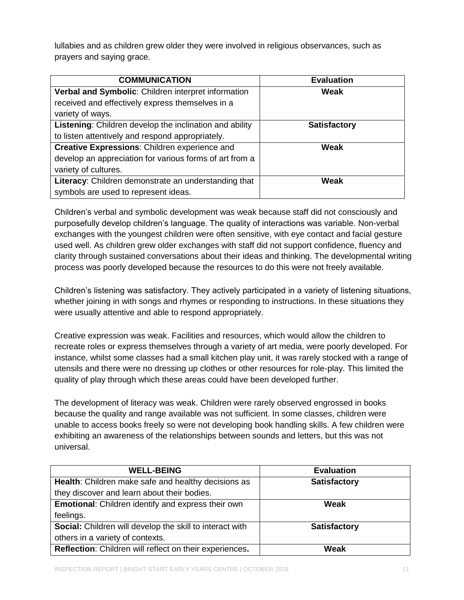lullabies and as children grew older they were involved in religious observances, such as prayers and saying grace.

| <b>COMMUNICATION</b>                                           | <b>Evaluation</b>   |
|----------------------------------------------------------------|---------------------|
| Verbal and Symbolic: Children interpret information            | Weak                |
| received and effectively express themselves in a               |                     |
| variety of ways.                                               |                     |
| <b>Listening:</b> Children develop the inclination and ability | <b>Satisfactory</b> |
| to listen attentively and respond appropriately.               |                     |
| Creative Expressions: Children experience and                  | <b>Weak</b>         |
| develop an appreciation for various forms of art from a        |                     |
| variety of cultures.                                           |                     |
| Literacy: Children demonstrate an understanding that           | <b>Weak</b>         |
| symbols are used to represent ideas.                           |                     |

Children's verbal and symbolic development was weak because staff did not consciously and purposefully develop children's language. The quality of interactions was variable. Non-verbal exchanges with the youngest children were often sensitive, with eye contact and facial gesture used well. As children grew older exchanges with staff did not support confidence, fluency and clarity through sustained conversations about their ideas and thinking. The developmental writing process was poorly developed because the resources to do this were not freely available.

Children's listening was satisfactory. They actively participated in a variety of listening situations, whether joining in with songs and rhymes or responding to instructions. In these situations they were usually attentive and able to respond appropriately.

Creative expression was weak. Facilities and resources, which would allow the children to recreate roles or express themselves through a variety of art media, were poorly developed. For instance, whilst some classes had a small kitchen play unit, it was rarely stocked with a range of utensils and there were no dressing up clothes or other resources for role-play. This limited the quality of play through which these areas could have been developed further.

The development of literacy was weak. Children were rarely observed engrossed in books because the quality and range available was not sufficient. In some classes, children were unable to access books freely so were not developing book handling skills. A few children were exhibiting an awareness of the relationships between sounds and letters, but this was not universal.

| <b>WELL-BEING</b>                                         | <b>Evaluation</b>   |
|-----------------------------------------------------------|---------------------|
| Health: Children make safe and healthy decisions as       | <b>Satisfactory</b> |
| they discover and learn about their bodies.               |                     |
| <b>Emotional:</b> Children identify and express their own | Weak                |
| feelings.                                                 |                     |
| Social: Children will develop the skill to interact with  | <b>Satisfactory</b> |
| others in a variety of contexts.                          |                     |
| Reflection: Children will reflect on their experiences.   | Weak                |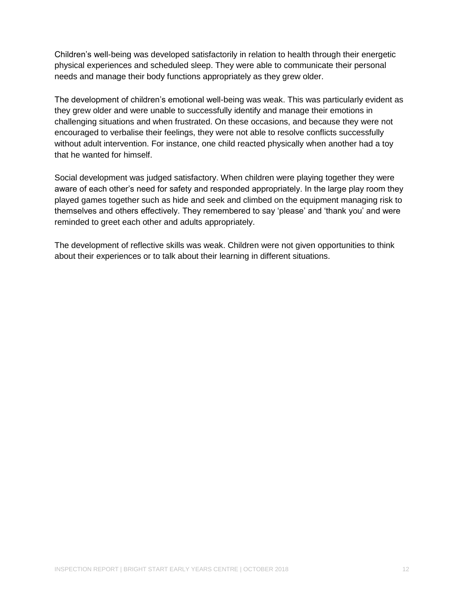Children's well-being was developed satisfactorily in relation to health through their energetic physical experiences and scheduled sleep. They were able to communicate their personal needs and manage their body functions appropriately as they grew older.

The development of children's emotional well-being was weak. This was particularly evident as they grew older and were unable to successfully identify and manage their emotions in challenging situations and when frustrated. On these occasions, and because they were not encouraged to verbalise their feelings, they were not able to resolve conflicts successfully without adult intervention. For instance, one child reacted physically when another had a toy that he wanted for himself.

Social development was judged satisfactory. When children were playing together they were aware of each other's need for safety and responded appropriately. In the large play room they played games together such as hide and seek and climbed on the equipment managing risk to themselves and others effectively. They remembered to say 'please' and 'thank you' and were reminded to greet each other and adults appropriately.

The development of reflective skills was weak. Children were not given opportunities to think about their experiences or to talk about their learning in different situations.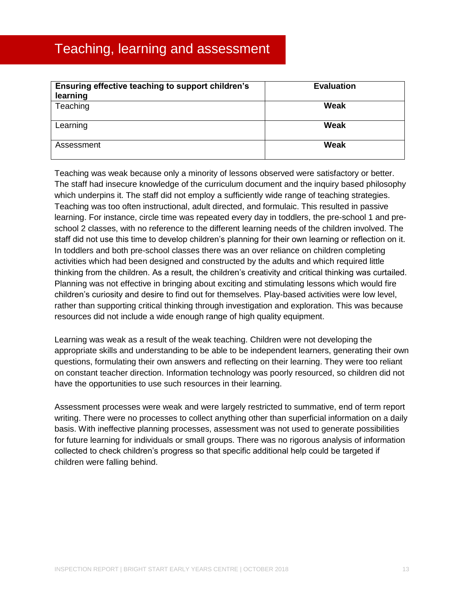# <span id="page-13-0"></span>Teaching, learning and assessment

| Ensuring effective teaching to support children's<br>learning | <b>Evaluation</b> |
|---------------------------------------------------------------|-------------------|
| Teaching                                                      | Weak              |
| Learning                                                      | Weak              |
| Assessment                                                    | Weak              |

Teaching was weak because only a minority of lessons observed were satisfactory or better. The staff had insecure knowledge of the curriculum document and the inquiry based philosophy which underpins it. The staff did not employ a sufficiently wide range of teaching strategies. Teaching was too often instructional, adult directed, and formulaic. This resulted in passive learning. For instance, circle time was repeated every day in toddlers, the pre-school 1 and preschool 2 classes, with no reference to the different learning needs of the children involved. The staff did not use this time to develop children's planning for their own learning or reflection on it. In toddlers and both pre-school classes there was an over reliance on children completing activities which had been designed and constructed by the adults and which required little thinking from the children. As a result, the children's creativity and critical thinking was curtailed. Planning was not effective in bringing about exciting and stimulating lessons which would fire children's curiosity and desire to find out for themselves. Play-based activities were low level, rather than supporting critical thinking through investigation and exploration. This was because resources did not include a wide enough range of high quality equipment.

Learning was weak as a result of the weak teaching. Children were not developing the appropriate skills and understanding to be able to be independent learners, generating their own questions, formulating their own answers and reflecting on their learning. They were too reliant on constant teacher direction. Information technology was poorly resourced, so children did not have the opportunities to use such resources in their learning.

Assessment processes were weak and were largely restricted to summative, end of term report writing. There were no processes to collect anything other than superficial information on a daily basis. With ineffective planning processes, assessment was not used to generate possibilities for future learning for individuals or small groups. There was no rigorous analysis of information collected to check children's progress so that specific additional help could be targeted if children were falling behind.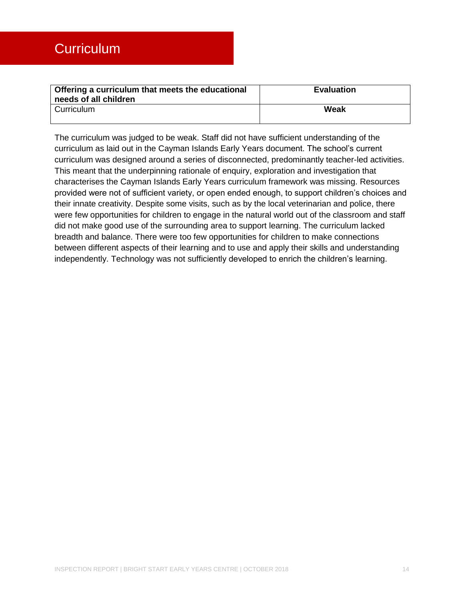<span id="page-14-0"></span>

| Offering a curriculum that meets the educational<br>needs of all children | <b>Evaluation</b> |
|---------------------------------------------------------------------------|-------------------|
| Curriculum                                                                | Weak              |

The curriculum was judged to be weak. Staff did not have sufficient understanding of the curriculum as laid out in the Cayman Islands Early Years document. The school's current curriculum was designed around a series of disconnected, predominantly teacher-led activities. This meant that the underpinning rationale of enquiry, exploration and investigation that characterises the Cayman Islands Early Years curriculum framework was missing. Resources provided were not of sufficient variety, or open ended enough, to support children's choices and their innate creativity. Despite some visits, such as by the local veterinarian and police, there were few opportunities for children to engage in the natural world out of the classroom and staff did not make good use of the surrounding area to support learning. The curriculum lacked breadth and balance. There were too few opportunities for children to make connections between different aspects of their learning and to use and apply their skills and understanding independently. Technology was not sufficiently developed to enrich the children's learning.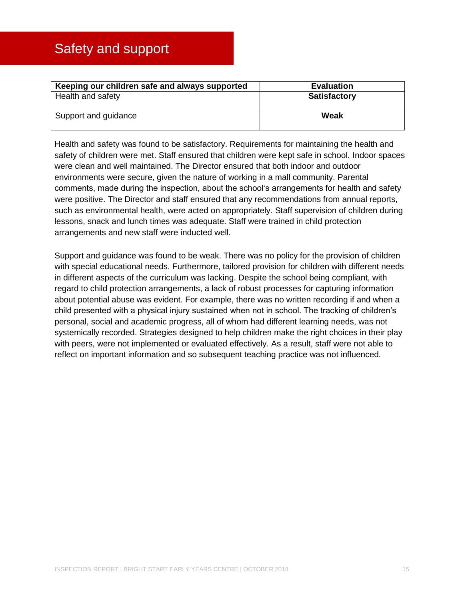<span id="page-15-0"></span>

| Keeping our children safe and always supported | <b>Evaluation</b>   |
|------------------------------------------------|---------------------|
| Health and safety                              | <b>Satisfactory</b> |
| Support and guidance                           | Weak                |

Health and safety was found to be satisfactory. Requirements for maintaining the health and safety of children were met. Staff ensured that children were kept safe in school. Indoor spaces were clean and well maintained. The Director ensured that both indoor and outdoor environments were secure, given the nature of working in a mall community. Parental comments, made during the inspection, about the school's arrangements for health and safety were positive. The Director and staff ensured that any recommendations from annual reports, such as environmental health, were acted on appropriately. Staff supervision of children during lessons, snack and lunch times was adequate. Staff were trained in child protection arrangements and new staff were inducted well.

Support and guidance was found to be weak. There was no policy for the provision of children with special educational needs. Furthermore, tailored provision for children with different needs in different aspects of the curriculum was lacking. Despite the school being compliant, with regard to child protection arrangements, a lack of robust processes for capturing information about potential abuse was evident. For example, there was no written recording if and when a child presented with a physical injury sustained when not in school. The tracking of children's personal, social and academic progress, all of whom had different learning needs, was not systemically recorded. Strategies designed to help children make the right choices in their play with peers, were not implemented or evaluated effectively. As a result, staff were not able to reflect on important information and so subsequent teaching practice was not influenced.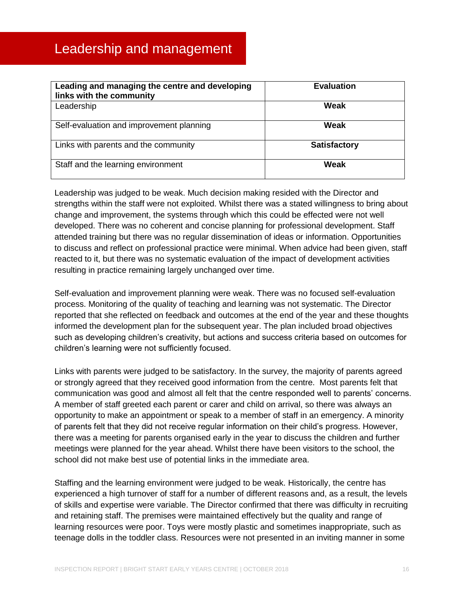<span id="page-16-0"></span>

| Leading and managing the centre and developing<br>links with the community | <b>Evaluation</b>   |
|----------------------------------------------------------------------------|---------------------|
| Leadership                                                                 | Weak                |
| Self-evaluation and improvement planning                                   | Weak                |
| Links with parents and the community                                       | <b>Satisfactory</b> |
| Staff and the learning environment                                         | Weak                |

Leadership was judged to be weak. Much decision making resided with the Director and strengths within the staff were not exploited. Whilst there was a stated willingness to bring about change and improvement, the systems through which this could be effected were not well developed. There was no coherent and concise planning for professional development. Staff attended training but there was no regular dissemination of ideas or information. Opportunities to discuss and reflect on professional practice were minimal. When advice had been given, staff reacted to it, but there was no systematic evaluation of the impact of development activities resulting in practice remaining largely unchanged over time.

Self-evaluation and improvement planning were weak. There was no focused self-evaluation process. Monitoring of the quality of teaching and learning was not systematic. The Director reported that she reflected on feedback and outcomes at the end of the year and these thoughts informed the development plan for the subsequent year. The plan included broad objectives such as developing children's creativity, but actions and success criteria based on outcomes for children's learning were not sufficiently focused.

Links with parents were judged to be satisfactory. In the survey, the majority of parents agreed or strongly agreed that they received good information from the centre. Most parents felt that communication was good and almost all felt that the centre responded well to parents' concerns. A member of staff greeted each parent or carer and child on arrival, so there was always an opportunity to make an appointment or speak to a member of staff in an emergency. A minority of parents felt that they did not receive regular information on their child's progress. However, there was a meeting for parents organised early in the year to discuss the children and further meetings were planned for the year ahead. Whilst there have been visitors to the school, the school did not make best use of potential links in the immediate area.

Staffing and the learning environment were judged to be weak. Historically, the centre has experienced a high turnover of staff for a number of different reasons and, as a result, the levels of skills and expertise were variable. The Director confirmed that there was difficulty in recruiting and retaining staff. The premises were maintained effectively but the quality and range of learning resources were poor. Toys were mostly plastic and sometimes inappropriate, such as teenage dolls in the toddler class. Resources were not presented in an inviting manner in some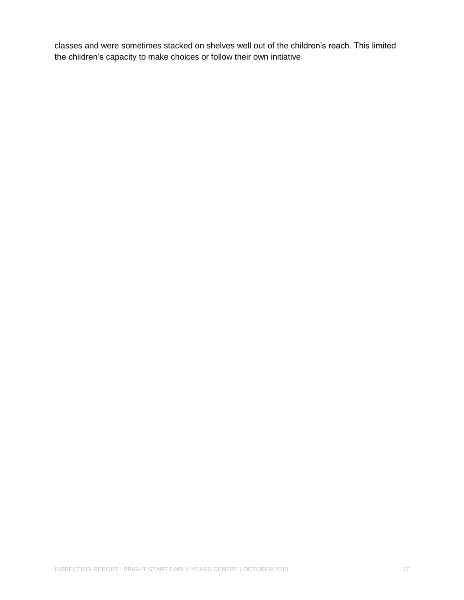classes and were sometimes stacked on shelves well out of the children's reach. This limited the children's capacity to make choices or follow their own initiative.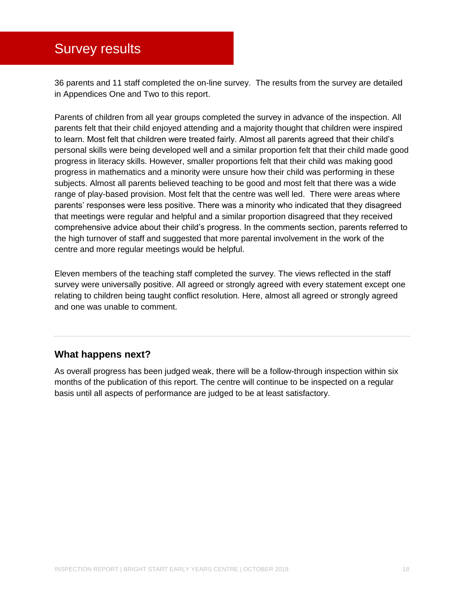# <span id="page-18-0"></span>Survey results

36 parents and 11 staff completed the on-line survey. The results from the survey are detailed in Appendices One and Two to this report.

Parents of children from all year groups completed the survey in advance of the inspection. All parents felt that their child enjoyed attending and a majority thought that children were inspired to learn. Most felt that children were treated fairly. Almost all parents agreed that their child's personal skills were being developed well and a similar proportion felt that their child made good progress in literacy skills. However, smaller proportions felt that their child was making good progress in mathematics and a minority were unsure how their child was performing in these subjects. Almost all parents believed teaching to be good and most felt that there was a wide range of play-based provision. Most felt that the centre was well led. There were areas where parents' responses were less positive. There was a minority who indicated that they disagreed that meetings were regular and helpful and a similar proportion disagreed that they received comprehensive advice about their child's progress. In the comments section, parents referred to the high turnover of staff and suggested that more parental involvement in the work of the centre and more regular meetings would be helpful.

Eleven members of the teaching staff completed the survey. The views reflected in the staff survey were universally positive. All agreed or strongly agreed with every statement except one relating to children being taught conflict resolution. Here, almost all agreed or strongly agreed and one was unable to comment.

### **What happens next?**

As overall progress has been judged weak, there will be a follow-through inspection within six months of the publication of this report. The centre will continue to be inspected on a regular basis until all aspects of performance are judged to be at least satisfactory.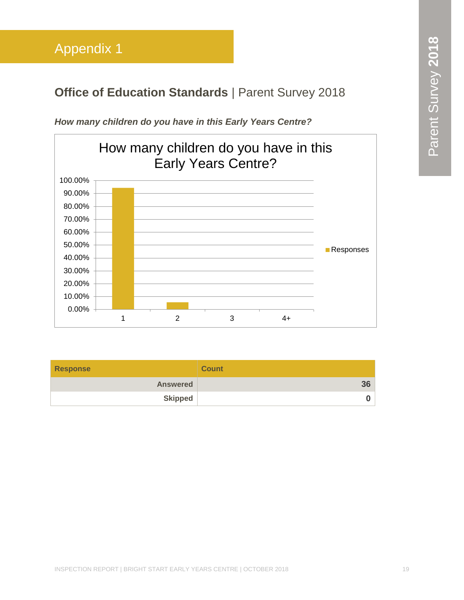# <span id="page-19-0"></span>**Office of Education Standards | Parent Survey 2018**



*How many children do you have in this Early Years Centre?*

| <b>Response</b> | <b>Count</b> |
|-----------------|--------------|
| <b>Answered</b> | 36           |
| <b>Skipped</b>  | n.           |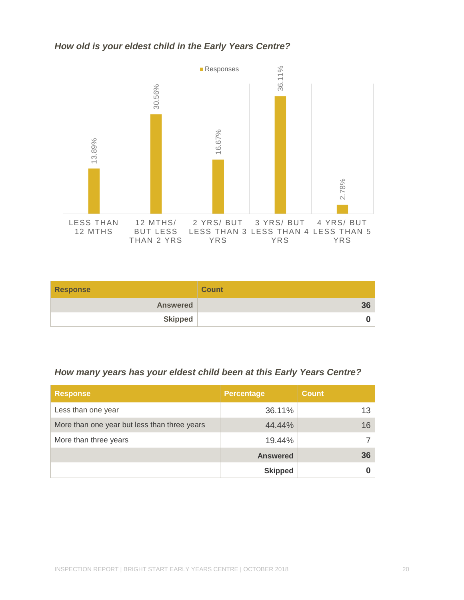### *How old is your eldest child in the Early Years Centre?*



| <b>Response</b> | <b>Count</b> |
|-----------------|--------------|
| <b>Answered</b> | 36           |
| <b>Skipped</b>  |              |

# *How many years has your eldest child been at this Early Years Centre?*

| <b>Response</b>                              | <b>Percentage</b> | <b>Count</b>    |
|----------------------------------------------|-------------------|-----------------|
| Less than one year                           | 36.11%            | 13 <sup>1</sup> |
| More than one year but less than three years | 44.44%            | 16              |
| More than three years                        | 19.44%            |                 |
|                                              | <b>Answered</b>   | 36 <sup>°</sup> |
|                                              | <b>Skipped</b>    |                 |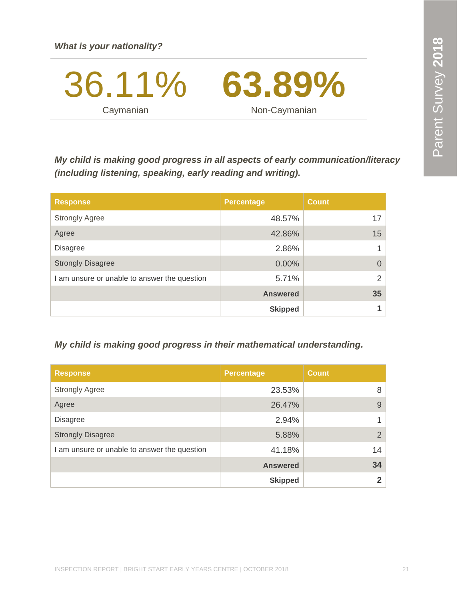36.11% **Caymanian 63.89%** Non-Caymanian

*My child is making good progress in all aspects of early communication/literacy (including listening, speaking, early reading and writing).*

| <b>Response</b>                              | <b>Percentage</b> | <b>Count</b> |
|----------------------------------------------|-------------------|--------------|
| <b>Strongly Agree</b>                        | 48.57%            | 17           |
| Agree                                        | 42.86%            | 15           |
| <b>Disagree</b>                              | 2.86%             |              |
| <b>Strongly Disagree</b>                     | $0.00\%$          | 0            |
| I am unsure or unable to answer the question | 5.71%             | 2            |
|                                              | <b>Answered</b>   | 35           |
|                                              | <b>Skipped</b>    |              |

### *My child is making good progress in their mathematical understanding.*

| <b>Response</b>                              | <b>Percentage</b> | <b>Count</b> |
|----------------------------------------------|-------------------|--------------|
| <b>Strongly Agree</b>                        | 23.53%            | 8            |
| Agree                                        | 26.47%            | 9            |
| <b>Disagree</b>                              | 2.94%             |              |
| <b>Strongly Disagree</b>                     | 5.88%             | 2            |
| I am unsure or unable to answer the question | 41.18%            | 14           |
|                                              | <b>Answered</b>   | 34           |
|                                              | <b>Skipped</b>    | $\mathbf 2$  |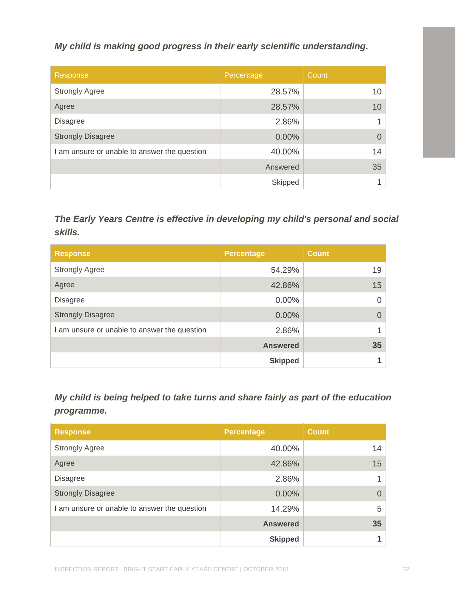### *My child is making good progress in their early scientific understanding.*

| Response                                     | Percentage | Count           |
|----------------------------------------------|------------|-----------------|
| <b>Strongly Agree</b>                        | 28.57%     | 10 <sup>1</sup> |
| Agree                                        | 28.57%     | 10              |
| <b>Disagree</b>                              | 2.86%      |                 |
| <b>Strongly Disagree</b>                     | 0.00%      | 0               |
| I am unsure or unable to answer the question | 40.00%     | 14              |
|                                              | Answered   | 35              |
|                                              | Skipped    |                 |

| My child is making good progress in their early scientific understanding.                                         |                   |                |
|-------------------------------------------------------------------------------------------------------------------|-------------------|----------------|
| Response                                                                                                          | Percentage        | Count          |
| <b>Strongly Agree</b>                                                                                             | 28.57%            | 10             |
| Agree                                                                                                             | 28.57%            | 10             |
| <b>Disagree</b>                                                                                                   | 2.86%             | 1              |
| <b>Strongly Disagree</b>                                                                                          | 0.00%             | $\overline{0}$ |
| I am unsure or unable to answer the question                                                                      | 40.00%            | 14             |
|                                                                                                                   | Answered          | 35             |
|                                                                                                                   | Skipped           | 1              |
| skills.<br><b>Response</b>                                                                                        | <b>Percentage</b> | <b>Count</b>   |
| <b>Strongly Agree</b>                                                                                             | 54.29%            | 19             |
| Agree                                                                                                             | 42.86%            | 15             |
| <b>Disagree</b>                                                                                                   | 0.00%             | $\overline{0}$ |
| <b>Strongly Disagree</b>                                                                                          | 0.00%             | $\overline{0}$ |
| I am unsure or unable to answer the question                                                                      | 2.86%             | 1              |
|                                                                                                                   | <b>Answered</b>   | 35             |
|                                                                                                                   | <b>Skipped</b>    | 1              |
|                                                                                                                   |                   |                |
| My child is being helped to take turns and share fairly as part of the education<br>programme.<br><b>Response</b> | <b>Percentage</b> | <b>Count</b>   |
| <b>Strongly Agree</b>                                                                                             | 40.00%            | 14             |
| Agree                                                                                                             | 42.86%            | 15             |
| <b>Disagree</b>                                                                                                   | 2.86%             | 1              |
| <b>Strongly Disagree</b>                                                                                          | 0.00%             | $\overline{0}$ |
| I am unsure or unable to answer the question                                                                      | 14.29%            | 5              |
|                                                                                                                   | <b>Answered</b>   | 35             |

| <b>Response</b>                              | <b>Percentage</b> | <b>Count</b> |
|----------------------------------------------|-------------------|--------------|
| <b>Strongly Agree</b>                        | 40.00%            | 14           |
| Agree                                        | 42.86%            | 15           |
| <b>Disagree</b>                              | 2.86%             |              |
| <b>Strongly Disagree</b>                     | 0.00%             | 0            |
| I am unsure or unable to answer the question | 14.29%            | 5            |
|                                              | <b>Answered</b>   | 35           |
|                                              | <b>Skipped</b>    |              |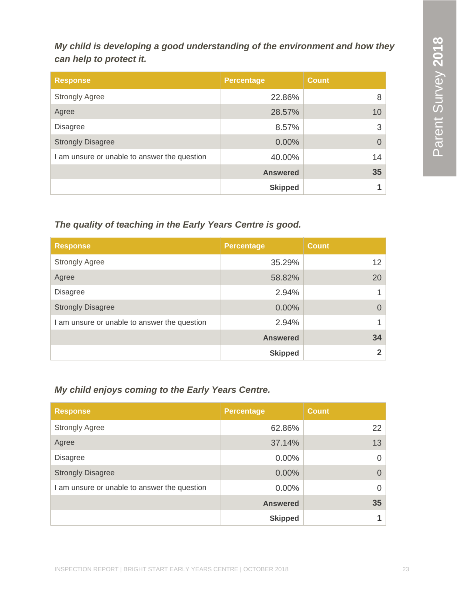*My child is developing a good understanding of the environment and how they can help to protect it.*

| <b>Response</b>                              | <b>Percentage</b> | <b>Count</b> |
|----------------------------------------------|-------------------|--------------|
| <b>Strongly Agree</b>                        | 22.86%            | 8            |
| Agree                                        | 28.57%            | 10           |
| <b>Disagree</b>                              | 8.57%             | 3            |
| <b>Strongly Disagree</b>                     | 0.00%             | $\Omega$     |
| I am unsure or unable to answer the question | 40.00%            | 14           |
|                                              | <b>Answered</b>   | 35           |
|                                              | <b>Skipped</b>    |              |

# *The quality of teaching in the Early Years Centre is good.*

| <b>Response</b>                              | Percentage      | <b>Count</b> |
|----------------------------------------------|-----------------|--------------|
| <b>Strongly Agree</b>                        | 35.29%          | 12           |
| Agree                                        | 58.82%          | 20           |
| <b>Disagree</b>                              | 2.94%           |              |
| <b>Strongly Disagree</b>                     | 0.00%           | $\Omega$     |
| I am unsure or unable to answer the question | 2.94%           |              |
|                                              | <b>Answered</b> | 34           |
|                                              | <b>Skipped</b>  | $2^{\circ}$  |

# *My child enjoys coming to the Early Years Centre.*

| <b>Response</b>                            | <b>Percentage</b> | <b>Count</b> |
|--------------------------------------------|-------------------|--------------|
| <b>Strongly Agree</b>                      | 62.86%            | 22           |
| Agree                                      | 37.14%            | 13           |
| <b>Disagree</b>                            | $0.00\%$          | $\Omega$     |
| <b>Strongly Disagree</b>                   | $0.00\%$          | $\Omega$     |
| am unsure or unable to answer the question | $0.00\%$          | $\Omega$     |
|                                            | <b>Answered</b>   | 35           |
|                                            | <b>Skipped</b>    |              |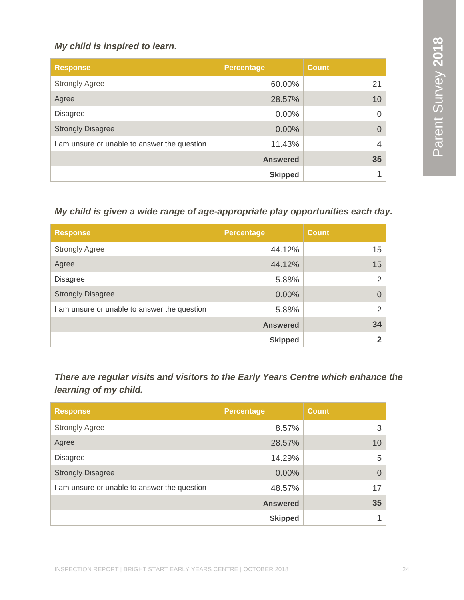# *My child is inspired to learn.*

| <b>Response</b>                              | <b>Percentage</b> | <b>Count</b>   |
|----------------------------------------------|-------------------|----------------|
| <b>Strongly Agree</b>                        | 60.00%            | 21             |
| Agree                                        | 28.57%            | 10             |
| <b>Disagree</b>                              | $0.00\%$          | $\Omega$       |
| <b>Strongly Disagree</b>                     | $0.00\%$          | $\Omega$       |
| I am unsure or unable to answer the question | 11.43%            | $\overline{4}$ |
|                                              | <b>Answered</b>   | 35             |
|                                              | <b>Skipped</b>    |                |

# *My child is given a wide range of age-appropriate play opportunities each day.*

| <b>Response</b>                              | <b>Percentage</b> | <b>Count</b>   |
|----------------------------------------------|-------------------|----------------|
| <b>Strongly Agree</b>                        | 44.12%            | 15             |
| Agree                                        | 44.12%            | 15             |
| <b>Disagree</b>                              | 5.88%             | 2              |
| <b>Strongly Disagree</b>                     | 0.00%             | $\Omega$       |
| I am unsure or unable to answer the question | 5.88%             | $\overline{2}$ |
|                                              | <b>Answered</b>   | 34             |
|                                              | <b>Skipped</b>    | າ              |

*There are regular visits and visitors to the Early Years Centre which enhance the learning of my child.*

| <b>Response</b>                            | Percentage      | <b>Count</b> |
|--------------------------------------------|-----------------|--------------|
| <b>Strongly Agree</b>                      | 8.57%           | 3            |
| Agree                                      | 28.57%          | 10           |
| <b>Disagree</b>                            | 14.29%          | 5            |
| <b>Strongly Disagree</b>                   | $0.00\%$        | $\Omega$     |
| am unsure or unable to answer the question | 48.57%          | 17           |
|                                            | <b>Answered</b> | 35           |
|                                            | <b>Skipped</b>  |              |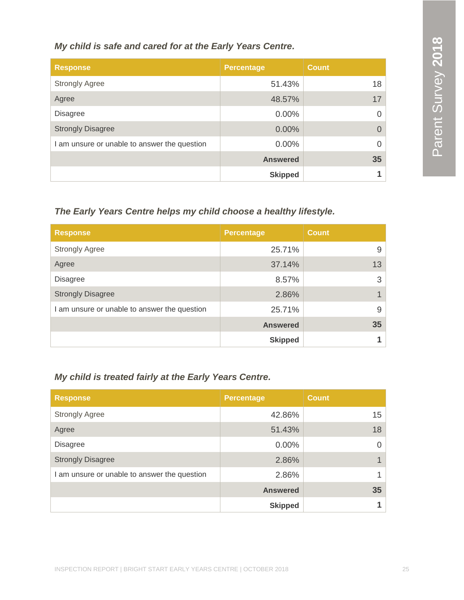### *My child is safe and cared for at the Early Years Centre.*

| <b>Response</b>                              | <b>Percentage</b> | <b>Count</b> |
|----------------------------------------------|-------------------|--------------|
| <b>Strongly Agree</b>                        | 51.43%            | 18           |
| Agree                                        | 48.57%            | 17           |
| <b>Disagree</b>                              | 0.00%             |              |
| <b>Strongly Disagree</b>                     | $0.00\%$          |              |
| I am unsure or unable to answer the question | $0.00\%$          | 0            |
|                                              | <b>Answered</b>   | 35           |
|                                              | <b>Skipped</b>    |              |

# *The Early Years Centre helps my child choose a healthy lifestyle.*

| <b>Response</b>                              | <b>Percentage</b> | <b>Count</b> |
|----------------------------------------------|-------------------|--------------|
| <b>Strongly Agree</b>                        | 25.71%            | 9            |
| Agree                                        | 37.14%            | 13           |
| <b>Disagree</b>                              | 8.57%             | 3            |
| <b>Strongly Disagree</b>                     | 2.86%             |              |
| I am unsure or unable to answer the question | 25.71%            | 9            |
|                                              | <b>Answered</b>   | 35           |
|                                              | <b>Skipped</b>    |              |

# *My child is treated fairly at the Early Years Centre.*

| <b>Response</b>                              | <b>Percentage</b> | <b>Count</b> |
|----------------------------------------------|-------------------|--------------|
| <b>Strongly Agree</b>                        | 42.86%            | 15           |
| Agree                                        | 51.43%            | 18           |
| <b>Disagree</b>                              | 0.00%             | 0            |
| <b>Strongly Disagree</b>                     | 2.86%             |              |
| I am unsure or unable to answer the question | 2.86%             |              |
|                                              | <b>Answered</b>   | 35           |
|                                              | <b>Skipped</b>    |              |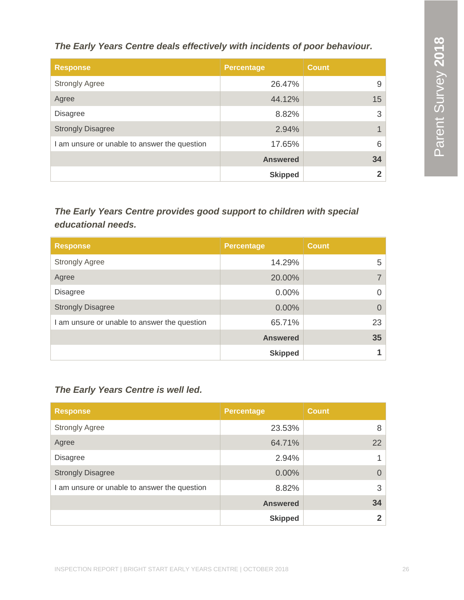*The Early Years Centre deals effectively with incidents of poor behaviour.*

| <b>Response</b>                              | <b>Percentage</b> | <b>Count</b> |
|----------------------------------------------|-------------------|--------------|
| <b>Strongly Agree</b>                        | 26.47%            | 9            |
| Agree                                        | 44.12%            | 15           |
| <b>Disagree</b>                              | 8.82%             | 3            |
| <b>Strongly Disagree</b>                     | 2.94%             |              |
| I am unsure or unable to answer the question | 17.65%            | 6            |
|                                              | <b>Answered</b>   | 34           |
|                                              | <b>Skipped</b>    |              |

# *The Early Years Centre provides good support to children with special educational needs.*

| <b>Response</b>                              | <b>Percentage</b> | <b>Count</b> |
|----------------------------------------------|-------------------|--------------|
| <b>Strongly Agree</b>                        | 14.29%            | 5            |
| Agree                                        | 20.00%            |              |
| <b>Disagree</b>                              | 0.00%             | 0            |
| <b>Strongly Disagree</b>                     | 0.00%             |              |
| I am unsure or unable to answer the question | 65.71%            | 23           |
|                                              | <b>Answered</b>   | 35           |
|                                              | <b>Skipped</b>    |              |

# *The Early Years Centre is well led.*

| <b>Response</b>                            | <b>Percentage</b> | <b>Count</b> |
|--------------------------------------------|-------------------|--------------|
| <b>Strongly Agree</b>                      | 23.53%            | 8            |
| Agree                                      | 64.71%            | 22           |
| <b>Disagree</b>                            | 2.94%             | 1            |
| <b>Strongly Disagree</b>                   | $0.00\%$          | $\Omega$     |
| am unsure or unable to answer the question | 8.82%             | 3            |
|                                            | <b>Answered</b>   | 34           |
|                                            | <b>Skipped</b>    | 2            |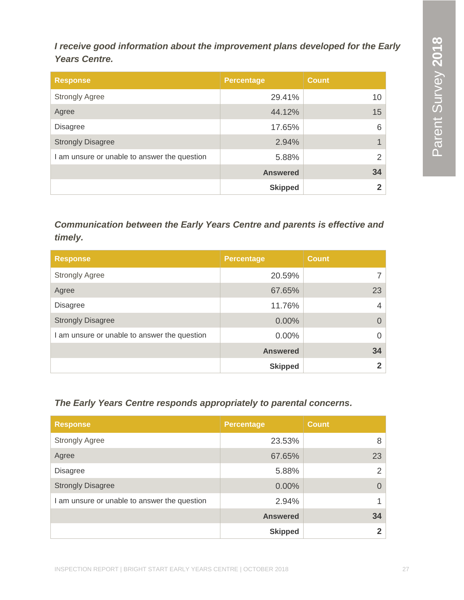*I receive good information about the improvement plans developed for the Early Years Centre.*

| <b>Response</b>                              | <b>Percentage</b> | <b>Count</b>    |
|----------------------------------------------|-------------------|-----------------|
| <b>Strongly Agree</b>                        | 29.41%            | 10 <sup>1</sup> |
| Agree                                        | 44.12%            | 15              |
| <b>Disagree</b>                              | 17.65%            | 6               |
| <b>Strongly Disagree</b>                     | 2.94%             | 1 <sup>1</sup>  |
| I am unsure or unable to answer the question | 5.88%             | 2               |
|                                              | <b>Answered</b>   | 34              |
|                                              | <b>Skipped</b>    | $\overline{2}$  |

*Communication between the Early Years Centre and parents is effective and timely.*

| <b>Response</b>                              | <b>Percentage</b> | <b>Count</b> |
|----------------------------------------------|-------------------|--------------|
| <b>Strongly Agree</b>                        | 20.59%            |              |
| Agree                                        | 67.65%            | 23           |
| <b>Disagree</b>                              | 11.76%            | 4            |
| <b>Strongly Disagree</b>                     | 0.00%             | 0            |
| I am unsure or unable to answer the question | $0.00\%$          | 0            |
|                                              | <b>Answered</b>   | 34           |
|                                              | <b>Skipped</b>    |              |

*The Early Years Centre responds appropriately to parental concerns.*

| <b>Response</b>                              | <b>Percentage</b> | <b>Count</b> |
|----------------------------------------------|-------------------|--------------|
| <b>Strongly Agree</b>                        | 23.53%            | 8            |
| Agree                                        | 67.65%            | 23           |
| <b>Disagree</b>                              | 5.88%             | 2            |
| <b>Strongly Disagree</b>                     | 0.00%             | $\Omega$     |
| I am unsure or unable to answer the question | 2.94%             |              |
|                                              | <b>Answered</b>   | 34           |
|                                              | <b>Skipped</b>    |              |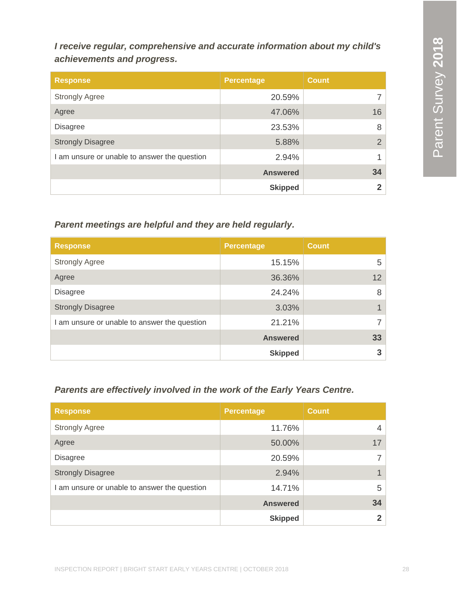# *I receive regular, comprehensive and accurate information about my child's achievements and progress.*

| <b>Response</b>                              | <b>Percentage</b> | <b>Count</b>   |
|----------------------------------------------|-------------------|----------------|
| <b>Strongly Agree</b>                        | 20.59%            |                |
| Agree                                        | 47.06%            | 16             |
| <b>Disagree</b>                              | 23.53%            | 8              |
| <b>Strongly Disagree</b>                     | 5.88%             | $\overline{2}$ |
| I am unsure or unable to answer the question | 2.94%             |                |
|                                              | <b>Answered</b>   | 34             |
|                                              | <b>Skipped</b>    |                |

# *Parent meetings are helpful and they are held regularly.*

| <b>Response</b>                              | <b>Percentage</b> | <b>Count</b>    |
|----------------------------------------------|-------------------|-----------------|
| <b>Strongly Agree</b>                        | 15.15%            | 5               |
| Agree                                        | 36.36%            | 12 <sup>2</sup> |
| <b>Disagree</b>                              | 24.24%            | 8               |
| <b>Strongly Disagree</b>                     | 3.03%             |                 |
| I am unsure or unable to answer the question | 21.21%            |                 |
|                                              | <b>Answered</b>   | 33              |
|                                              | <b>Skipped</b>    | 3               |

# *Parents are effectively involved in the work of the Early Years Centre.*

| <b>Response</b>                            | <b>Percentage</b> | <b>Count</b> |
|--------------------------------------------|-------------------|--------------|
| <b>Strongly Agree</b>                      | 11.76%            | 4            |
| Agree                                      | 50.00%            | 17           |
| <b>Disagree</b>                            | 20.59%            |              |
| <b>Strongly Disagree</b>                   | 2.94%             |              |
| am unsure or unable to answer the question | 14.71%            | 5            |
|                                            | <b>Answered</b>   | 34           |
|                                            | <b>Skipped</b>    | າ            |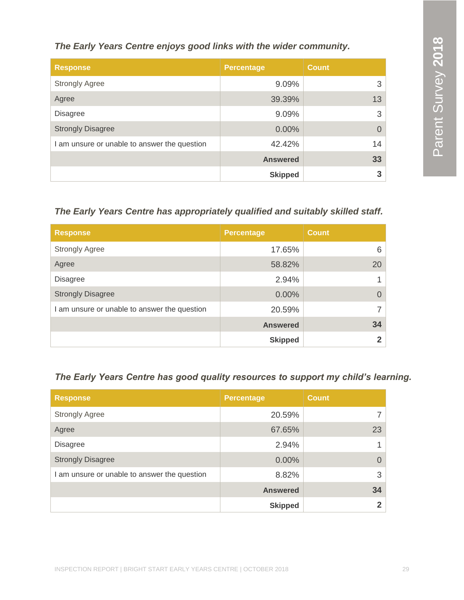# *The Early Years Centre enjoys good links with the wider community.*

| <b>Response</b>                              | <b>Percentage</b> | <b>Count</b> |
|----------------------------------------------|-------------------|--------------|
| <b>Strongly Agree</b>                        | 9.09%             | 3            |
| Agree                                        | 39.39%            | 13           |
| <b>Disagree</b>                              | 9.09%             | 3            |
| <b>Strongly Disagree</b>                     | $0.00\%$          | $\Omega$     |
| I am unsure or unable to answer the question | 42.42%            | 14           |
|                                              | <b>Answered</b>   | 33           |
|                                              | <b>Skipped</b>    | 3            |

# *The Early Years Centre has appropriately qualified and suitably skilled staff.*

| <b>Response</b>                              | Percentage      | <b>Count</b> |
|----------------------------------------------|-----------------|--------------|
| <b>Strongly Agree</b>                        | 17.65%          | 6            |
| Agree                                        | 58.82%          | 20           |
| <b>Disagree</b>                              | 2.94%           |              |
| <b>Strongly Disagree</b>                     | 0.00%           | 0            |
| I am unsure or unable to answer the question | 20.59%          |              |
|                                              | <b>Answered</b> | 34           |
|                                              | <b>Skipped</b>  | $\mathbf{2}$ |

# *The Early Years Centre has good quality resources to support my child's learning.*

| <b>Response</b>                              | <b>Percentage</b> | <b>Count</b> |
|----------------------------------------------|-------------------|--------------|
| <b>Strongly Agree</b>                        | 20.59%            |              |
| Agree                                        | 67.65%            | 23           |
| <b>Disagree</b>                              | 2.94%             |              |
| <b>Strongly Disagree</b>                     | 0.00%             | $\Omega$     |
| I am unsure or unable to answer the question | 8.82%             | 3            |
|                                              | <b>Answered</b>   | 34           |
|                                              | <b>Skipped</b>    | $\mathbf 2$  |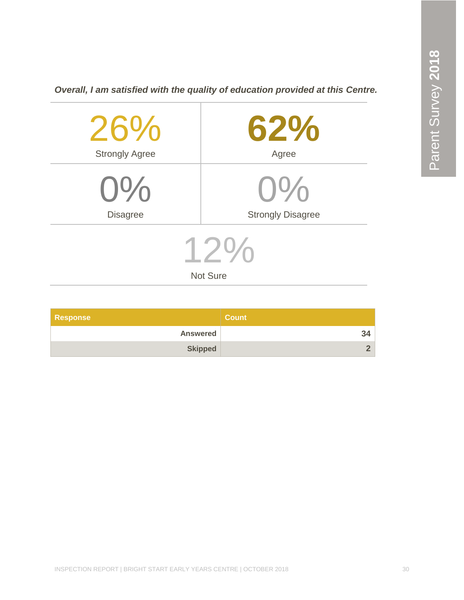| 26%<br><b>Strongly Agree</b> | $62\%$<br>Agree          |  |
|------------------------------|--------------------------|--|
|                              |                          |  |
| $0\%$                        | $0\%$                    |  |
| <b>Disagree</b>              | <b>Strongly Disagree</b> |  |
| <b>Not Sure</b>              |                          |  |
|                              |                          |  |

*Overall, I am satisfied with the quality of education provided at this Centre.*

| <b>Response</b> | <b>Count</b> |
|-----------------|--------------|
| <b>Answered</b> | 34           |
| <b>Skipped</b>  |              |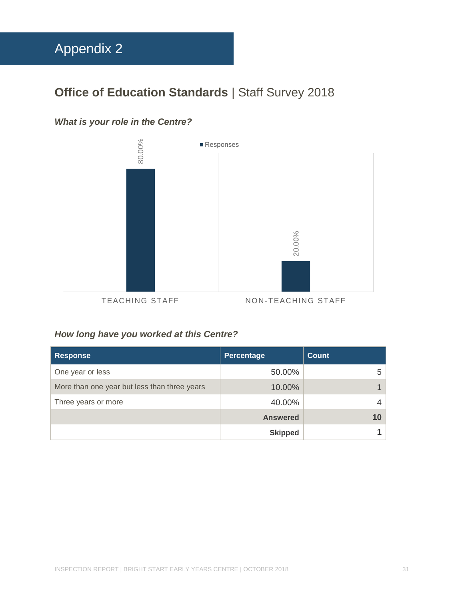# <span id="page-31-0"></span>**Office of Education Standards | Staff Survey 2018**

# *What is your role in the Centre?*



# *How long have you worked at this Centre?*

| <b>Response</b>                              | <b>Percentage</b> | <b>Count</b> |
|----------------------------------------------|-------------------|--------------|
| One year or less                             | 50.00%            | 5            |
| More than one year but less than three years | 10.00%            |              |
| Three years or more                          | 40.00%            | 4            |
|                                              | <b>Answered</b>   | 10           |
|                                              | <b>Skipped</b>    |              |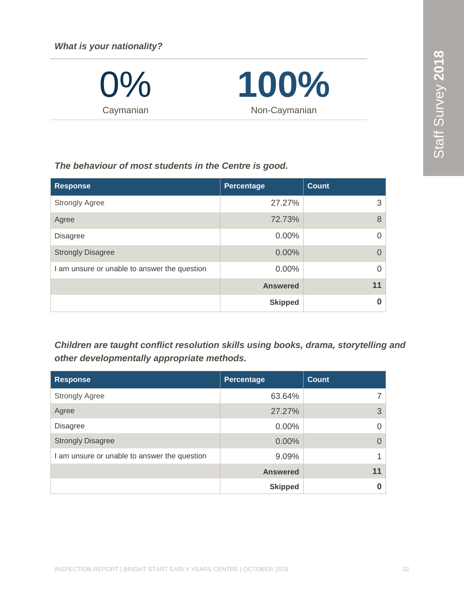*What is your nationality?*

 $\frac{1}{2}$ Caymanian



### *The behaviour of most students in the Centre is good.*

| <b>Response</b>                              | Percentage      | <b>Count</b>   |
|----------------------------------------------|-----------------|----------------|
| <b>Strongly Agree</b>                        | 27.27%          | 3              |
| Agree                                        | 72.73%          | 8              |
| <b>Disagree</b>                              | 0.00%           | $\overline{0}$ |
| <b>Strongly Disagree</b>                     | 0.00%           | $\Omega$       |
| I am unsure or unable to answer the question | 0.00%           | $\Omega$       |
|                                              | <b>Answered</b> | 11             |
|                                              | <b>Skipped</b>  | $\bf{0}$       |

*Children are taught conflict resolution skills using books, drama, storytelling and other developmentally appropriate methods.*

| <b>Response</b>                              | Percentage      | Count    |
|----------------------------------------------|-----------------|----------|
| <b>Strongly Agree</b>                        | 63.64%          |          |
| Agree                                        | 27.27%          | 3        |
| <b>Disagree</b>                              | $0.00\%$        | $\Omega$ |
| <b>Strongly Disagree</b>                     | $0.00\%$        | $\Omega$ |
| I am unsure or unable to answer the question | 9.09%           |          |
|                                              | <b>Answered</b> | 11       |
|                                              | <b>Skipped</b>  | O        |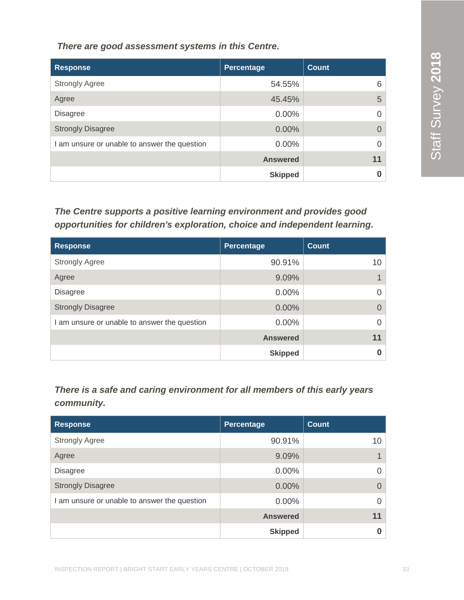*There are good assessment systems in this Centre.*

| <b>Response</b>                              | Percentage      | <b>Count</b> |
|----------------------------------------------|-----------------|--------------|
| <b>Strongly Agree</b>                        | 54.55%          | 6            |
| Agree                                        | 45.45%          | 5            |
| <b>Disagree</b>                              | $0.00\%$        |              |
| <b>Strongly Disagree</b>                     | 0.00%           |              |
| I am unsure or unable to answer the question | $0.00\%$        |              |
|                                              | <b>Answered</b> | 11           |
|                                              | <b>Skipped</b>  |              |

*The Centre supports a positive learning environment and provides good opportunities for children's exploration, choice and independent learning.*

| <b>Response</b>                              | Percentage      | <b>Count</b> |
|----------------------------------------------|-----------------|--------------|
| <b>Strongly Agree</b>                        | 90.91%          | 10           |
| Agree                                        | 9.09%           |              |
| <b>Disagree</b>                              | 0.00%           | 0            |
| <b>Strongly Disagree</b>                     | 0.00%           |              |
| I am unsure or unable to answer the question | 0.00%           | 0            |
|                                              | <b>Answered</b> | 11           |
|                                              | <b>Skipped</b>  | 0            |

*There is a safe and caring environment for all members of this early years community.*

| <b>Response</b>                            | Percentage      | <b>Count</b> |
|--------------------------------------------|-----------------|--------------|
| <b>Strongly Agree</b>                      | 90.91%          | 10           |
| Agree                                      | 9.09%           |              |
| <b>Disagree</b>                            | $0.00\%$        | $\Omega$     |
| <b>Strongly Disagree</b>                   | $0.00\%$        | $\Omega$     |
| am unsure or unable to answer the question | $0.00\%$        | $\Omega$     |
|                                            | <b>Answered</b> | 11           |
|                                            | <b>Skipped</b>  | 0            |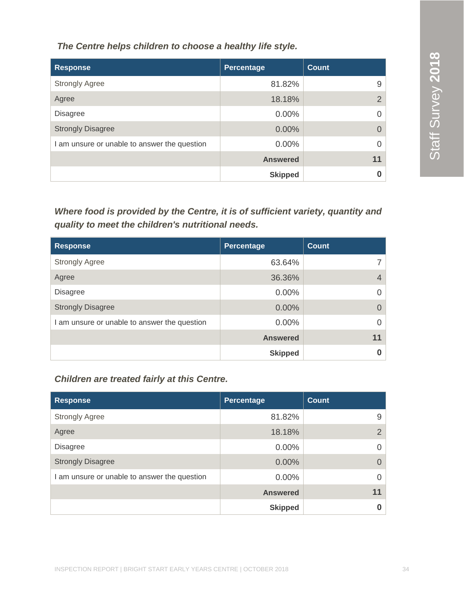*The Centre helps children to choose a healthy life style.*

| <b>Response</b>                              | <b>Percentage</b> | <b>Count</b>   |
|----------------------------------------------|-------------------|----------------|
| <b>Strongly Agree</b>                        | 81.82%            | 9              |
| Agree                                        | 18.18%            | $\overline{2}$ |
| <b>Disagree</b>                              | $0.00\%$          |                |
| <b>Strongly Disagree</b>                     | 0.00%             |                |
| I am unsure or unable to answer the question | 0.00%             |                |
|                                              | <b>Answered</b>   | 11             |
|                                              | <b>Skipped</b>    |                |

*Where food is provided by the Centre, it is of sufficient variety, quantity and quality to meet the children's nutritional needs.*

| <b>Response</b>                              | Percentage      | <b>Count</b> |
|----------------------------------------------|-----------------|--------------|
| <b>Strongly Agree</b>                        | 63.64%          |              |
| Agree                                        | 36.36%          |              |
| <b>Disagree</b>                              | $0.00\%$        | O            |
| <b>Strongly Disagree</b>                     | 0.00%           | 0            |
| I am unsure or unable to answer the question | 0.00%           |              |
|                                              | <b>Answered</b> | 11           |
|                                              | <b>Skipped</b>  |              |

# *Children are treated fairly at this Centre.*

| <b>Response</b>                              | <b>Percentage</b> | <b>Count</b>  |
|----------------------------------------------|-------------------|---------------|
| <b>Strongly Agree</b>                        | 81.82%            | 9             |
| Agree                                        | 18.18%            | $\mathcal{P}$ |
| <b>Disagree</b>                              | $0.00\%$          |               |
| <b>Strongly Disagree</b>                     | 0.00%             | $\Omega$      |
| I am unsure or unable to answer the question | 0.00%             |               |
|                                              | <b>Answered</b>   | 11            |
|                                              | <b>Skipped</b>    |               |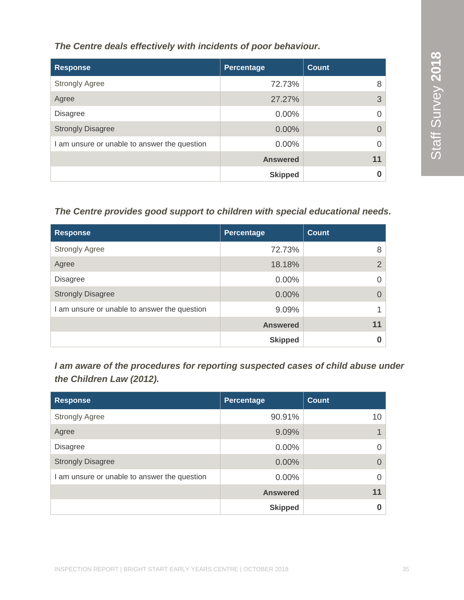*The Centre deals effectively with incidents of poor behaviour.*

| <b>Response</b>                              | Percentage      | <b>Count</b> |
|----------------------------------------------|-----------------|--------------|
| <b>Strongly Agree</b>                        | 72.73%          | 8            |
| Agree                                        | 27.27%          | 3            |
| <b>Disagree</b>                              | 0.00%           |              |
| <b>Strongly Disagree</b>                     | 0.00%           |              |
| I am unsure or unable to answer the question | 0.00%           |              |
|                                              | <b>Answered</b> | 11           |
|                                              | <b>Skipped</b>  |              |

# *The Centre provides good support to children with special educational needs.*

| <b>Response</b>                              | Percentage      | <b>Count</b> |
|----------------------------------------------|-----------------|--------------|
| <b>Strongly Agree</b>                        | 72.73%          | 8            |
| Agree                                        | 18.18%          | 2            |
| <b>Disagree</b>                              | 0.00%           |              |
| <b>Strongly Disagree</b>                     | $0.00\%$        |              |
| I am unsure or unable to answer the question | 9.09%           |              |
|                                              | <b>Answered</b> | 11           |
|                                              | <b>Skipped</b>  |              |

*I am aware of the procedures for reporting suspected cases of child abuse under the Children Law (2012).*

| <b>Response</b>                              | Percentage      | <b>Count</b> |
|----------------------------------------------|-----------------|--------------|
| <b>Strongly Agree</b>                        | 90.91%          | 10           |
| Agree                                        | 9.09%           |              |
| <b>Disagree</b>                              | $0.00\%$        |              |
| <b>Strongly Disagree</b>                     | 0.00%           | $\Omega$     |
| I am unsure or unable to answer the question | $0.00\%$        |              |
|                                              | <b>Answered</b> | 11           |
|                                              | <b>Skipped</b>  |              |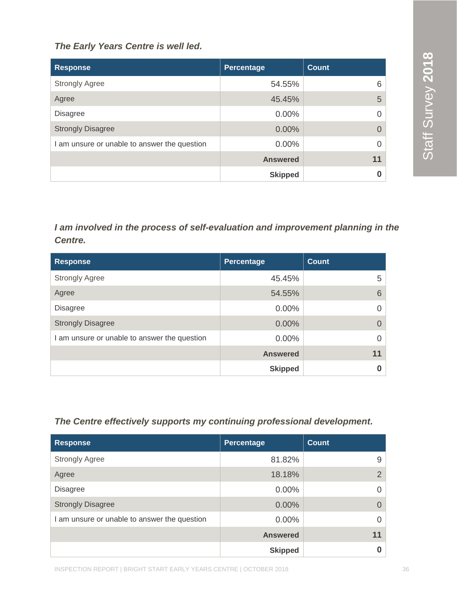### *The Early Years Centre is well led.*

| <b>Response</b>                              | Percentage      | <b>Count</b> |
|----------------------------------------------|-----------------|--------------|
| <b>Strongly Agree</b>                        | 54.55%          | 6            |
| Agree                                        | 45.45%          | 5            |
| <b>Disagree</b>                              | $0.00\%$        | $\Omega$     |
| <b>Strongly Disagree</b>                     | $0.00\%$        | $\Omega$     |
| I am unsure or unable to answer the question | 0.00%           | $\Omega$     |
|                                              | <b>Answered</b> | 11           |
|                                              | <b>Skipped</b>  | 0            |

*I am involved in the process of self-evaluation and improvement planning in the Centre.*

| <b>Response</b>                              | Percentage      | <b>Count</b> |
|----------------------------------------------|-----------------|--------------|
| <b>Strongly Agree</b>                        | 45.45%          | 5            |
| Agree                                        | 54.55%          | 6            |
| <b>Disagree</b>                              | 0.00%           | 0            |
| <b>Strongly Disagree</b>                     | $0.00\%$        | 0            |
| I am unsure or unable to answer the question | $0.00\%$        | 0            |
|                                              | <b>Answered</b> | 11           |
|                                              | <b>Skipped</b>  |              |

### *The Centre effectively supports my continuing professional development.*

| <b>Response</b>                              | Percentage      | <b>Count</b>   |
|----------------------------------------------|-----------------|----------------|
| <b>Strongly Agree</b>                        | 81.82%          | 9              |
| Agree                                        | 18.18%          | $\overline{2}$ |
| <b>Disagree</b>                              | $0.00\%$        |                |
| <b>Strongly Disagree</b>                     | $0.00\%$        |                |
| I am unsure or unable to answer the question | 0.00%           |                |
|                                              | <b>Answered</b> | 11             |
|                                              | <b>Skipped</b>  |                |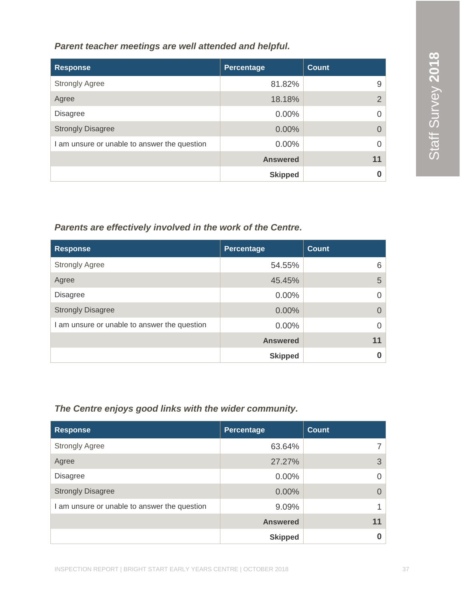### *Parent teacher meetings are well attended and helpful.*

| <b>Response</b>                              | Percentage      | <b>Count</b> |
|----------------------------------------------|-----------------|--------------|
| <b>Strongly Agree</b>                        | 81.82%          | 9            |
| Agree                                        | 18.18%          | ⌒            |
| <b>Disagree</b>                              | 0.00%           |              |
| <b>Strongly Disagree</b>                     | 0.00%           | 0            |
| I am unsure or unable to answer the question | 0.00%           |              |
|                                              | <b>Answered</b> | 11           |
|                                              | <b>Skipped</b>  |              |

# *Parents are effectively involved in the work of the Centre.*

| <b>Response</b>                              | Percentage      | Count    |
|----------------------------------------------|-----------------|----------|
| <b>Strongly Agree</b>                        | 54.55%          | 6        |
| Agree                                        | 45.45%          | 5        |
| <b>Disagree</b>                              | $0.00\%$        |          |
| <b>Strongly Disagree</b>                     | 0.00%           | $\Omega$ |
| I am unsure or unable to answer the question | 0.00%           |          |
|                                              | <b>Answered</b> | 11       |
|                                              | <b>Skipped</b>  |          |

# *The Centre enjoys good links with the wider community.*

| <b>Response</b>                              | <b>Percentage</b> | <b>Count</b> |
|----------------------------------------------|-------------------|--------------|
| <b>Strongly Agree</b>                        | 63.64%            |              |
| Agree                                        | 27.27%            | 3            |
| <b>Disagree</b>                              | 0.00%             | $\Omega$     |
| <b>Strongly Disagree</b>                     | $0.00\%$          | $\Omega$     |
| I am unsure or unable to answer the question | 9.09%             |              |
|                                              | <b>Answered</b>   | 11           |
|                                              | <b>Skipped</b>    | 0            |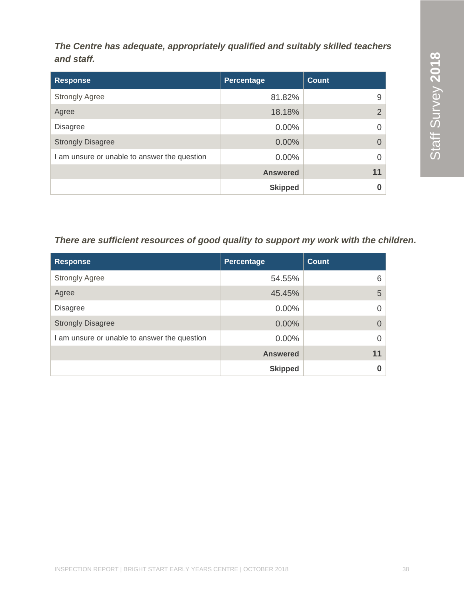*The Centre has adequate, appropriately qualified and suitably skilled teachers and staff.* 

| <b>Response</b>                              | Percentage      | <b>Count</b>   |
|----------------------------------------------|-----------------|----------------|
| <b>Strongly Agree</b>                        | 81.82%          | 9              |
| Agree                                        | 18.18%          | $\overline{2}$ |
| <b>Disagree</b>                              | 0.00%           | $\Omega$       |
| <b>Strongly Disagree</b>                     | 0.00%           | $\Omega$       |
| I am unsure or unable to answer the question | $0.00\%$        | $\Omega$       |
|                                              | <b>Answered</b> | 11             |
|                                              | <b>Skipped</b>  | 0              |

# *There are sufficient resources of good quality to support my work with the children.*

| <b>Response</b>                              | Percentage      | <b>Count</b> |
|----------------------------------------------|-----------------|--------------|
| <b>Strongly Agree</b>                        | 54.55%          | 6            |
| Agree                                        | 45.45%          | 5            |
| <b>Disagree</b>                              | $0.00\%$        | $\Omega$     |
| <b>Strongly Disagree</b>                     | $0.00\%$        | $\Omega$     |
| I am unsure or unable to answer the question | $0.00\%$        | $\Omega$     |
|                                              | <b>Answered</b> | 11           |
|                                              | <b>Skipped</b>  |              |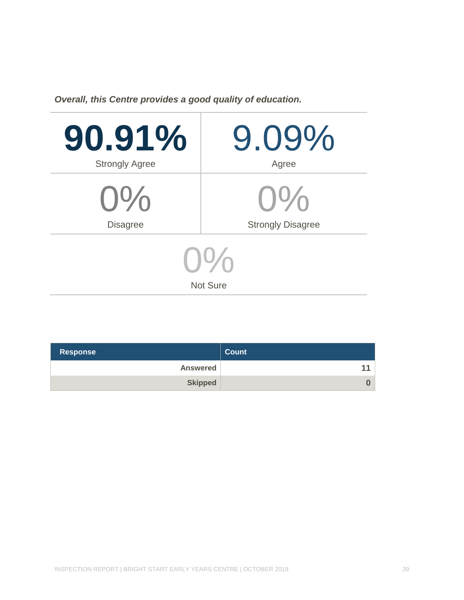*Overall, this Centre provides a good quality of education.*

| 90.91%                       | 9.09%                    |  |
|------------------------------|--------------------------|--|
| <b>Strongly Agree</b>        | Agree                    |  |
| $0\%$                        | $O\%$                    |  |
| <b>Disagree</b>              | <b>Strongly Disagree</b> |  |
| $U^{\nu}$<br><b>Not Sure</b> |                          |  |

| <b>Response</b> | <b>Count</b> |
|-----------------|--------------|
| <b>Answered</b> | 11           |
| <b>Skipped</b>  | $\bf{0}$     |